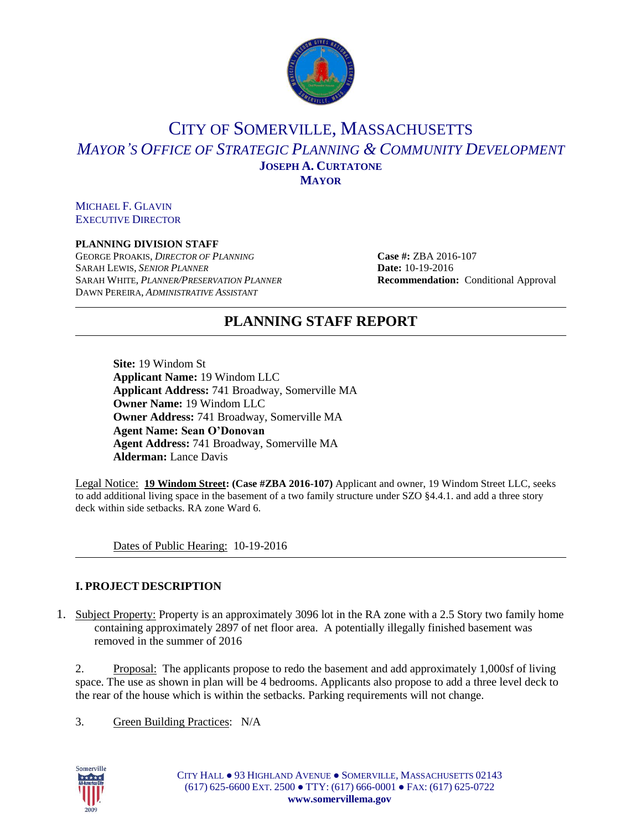

# CITY OF SOMERVILLE, MASSACHUSETTS *MAYOR'S OFFICE OF STRATEGIC PLANNING & COMMUNITY DEVELOPMENT* **JOSEPH A. CURTATONE MAYOR**

MICHAEL F. GLAVIN EXECUTIVE DIRECTOR

### **PLANNING DIVISION STAFF**

GEORGE PROAKIS, *DIRECTOR OF PLANNING* **Case #:** ZBA 2016-107 SARAH LEWIS, *SENIOR PLANNER* **Date:** 10-19-2016 SARAH WHITE, *PLANNER/PRESERVATION PLANNER* **Recommendation:** Conditional Approval DAWN PEREIRA, *ADMINISTRATIVE ASSISTANT*

## **PLANNING STAFF REPORT**

**Site:** 19 Windom St **Applicant Name:** 19 Windom LLC **Applicant Address:** 741 Broadway, Somerville MA **Owner Name:** 19 Windom LLC **Owner Address:** 741 Broadway, Somerville MA **Agent Name: Sean O'Donovan Agent Address:** 741 Broadway, Somerville MA **Alderman:** Lance Davis

Legal Notice: **19 Windom Street: (Case #ZBA 2016-107)** Applicant and owner, 19 Windom Street LLC, seeks to add additional living space in the basement of a two family structure under SZO §4.4.1. and add a three story deck within side setbacks. RA zone Ward 6.

Dates of Public Hearing: 10-19-2016

### **I. PROJECT DESCRIPTION**

1. Subject Property: Property is an approximately 3096 lot in the RA zone with a 2.5 Story two family home containing approximately 2897 of net floor area. A potentially illegally finished basement was removed in the summer of 2016

2. Proposal: The applicants propose to redo the basement and add approximately 1,000sf of living space. The use as shown in plan will be 4 bedrooms. Applicants also propose to add a three level deck to the rear of the house which is within the setbacks. Parking requirements will not change.

3. Green Building Practices: N/A

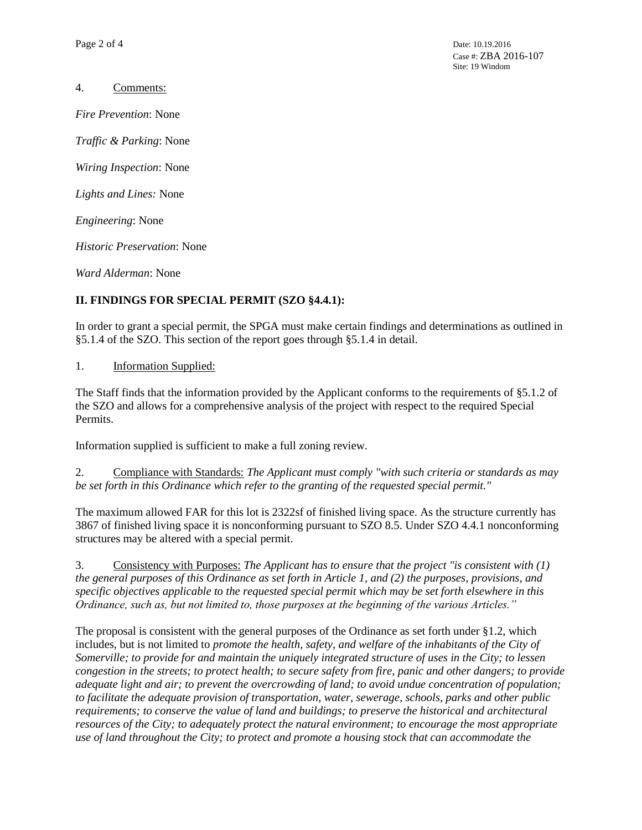4. Comments:

*Fire Prevention*: None

*Traffic & Parking*: None

*Wiring Inspection*: None

*Lights and Lines:* None

*Engineering*: None

*Historic Preservation*: None

*Ward Alderman*: None

## **II. FINDINGS FOR SPECIAL PERMIT (SZO §4.4.1):**

In order to grant a special permit, the SPGA must make certain findings and determinations as outlined in §5.1.4 of the SZO. This section of the report goes through §5.1.4 in detail.

1. Information Supplied:

The Staff finds that the information provided by the Applicant conforms to the requirements of §5.1.2 of the SZO and allows for a comprehensive analysis of the project with respect to the required Special Permits.

Information supplied is sufficient to make a full zoning review.

2. Compliance with Standards: *The Applicant must comply "with such criteria or standards as may be set forth in this Ordinance which refer to the granting of the requested special permit."*

The maximum allowed FAR for this lot is 2322sf of finished living space. As the structure currently has 3867 of finished living space it is nonconforming pursuant to SZO 8.5. Under SZO 4.4.1 nonconforming structures may be altered with a special permit.

3. Consistency with Purposes: *The Applicant has to ensure that the project "is consistent with (1) the general purposes of this Ordinance as set forth in Article 1, and (2) the purposes, provisions, and specific objectives applicable to the requested special permit which may be set forth elsewhere in this Ordinance, such as, but not limited to, those purposes at the beginning of the various Articles."* 

The proposal is consistent with the general purposes of the Ordinance as set forth under §1.2, which includes, but is not limited to *promote the health, safety, and welfare of the inhabitants of the City of Somerville; to provide for and maintain the uniquely integrated structure of uses in the City; to lessen congestion in the streets; to protect health; to secure safety from fire, panic and other dangers; to provide adequate light and air; to prevent the overcrowding of land; to avoid undue concentration of population; to facilitate the adequate provision of transportation, water, sewerage, schools, parks and other public requirements; to conserve the value of land and buildings; to preserve the historical and architectural resources of the City; to adequately protect the natural environment; to encourage the most appropriate use of land throughout the City; to protect and promote a housing stock that can accommodate the*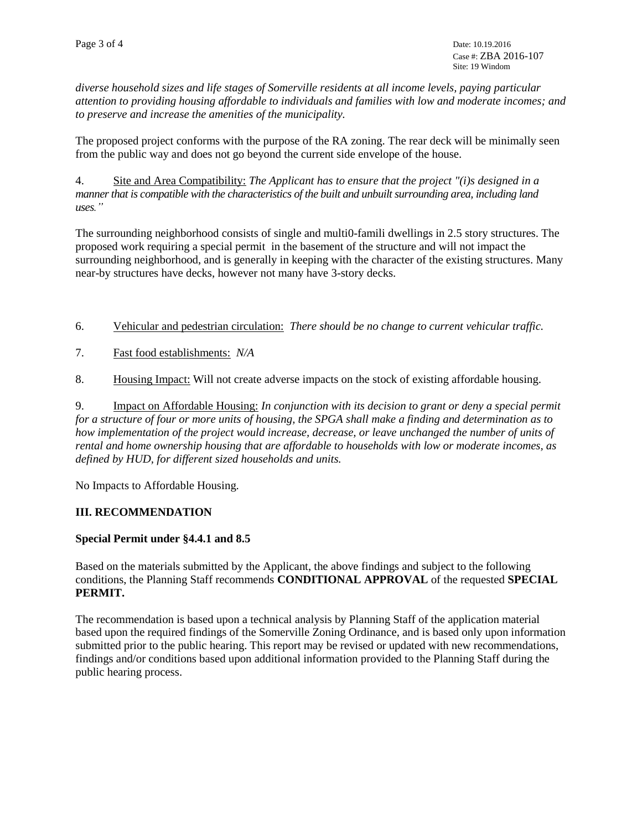*diverse household sizes and life stages of Somerville residents at all income levels, paying particular attention to providing housing affordable to individuals and families with low and moderate incomes; and to preserve and increase the amenities of the municipality.*

The proposed project conforms with the purpose of the RA zoning. The rear deck will be minimally seen from the public way and does not go beyond the current side envelope of the house.

4. Site and Area Compatibility: *The Applicant has to ensure that the project "(i)s designed in a manner that is compatible with the characteristics of the built and unbuilt surrounding area, including land uses."*

The surrounding neighborhood consists of single and multi0-famili dwellings in 2.5 story structures. The proposed work requiring a special permit in the basement of the structure and will not impact the surrounding neighborhood, and is generally in keeping with the character of the existing structures. Many near-by structures have decks, however not many have 3-story decks.

- 6. Vehicular and pedestrian circulation: *There should be no change to current vehicular traffic.*
- 7. Fast food establishments: *N/A*
- 8. Housing Impact: Will not create adverse impacts on the stock of existing affordable housing.

9. Impact on Affordable Housing: *In conjunction with its decision to grant or deny a special permit for a structure of four or more units of housing, the SPGA shall make a finding and determination as to how implementation of the project would increase, decrease, or leave unchanged the number of units of rental and home ownership housing that are affordable to households with low or moderate incomes, as defined by HUD, for different sized households and units.*

No Impacts to Affordable Housing.

### **III. RECOMMENDATION**

### **Special Permit under §4.4.1 and 8.5**

Based on the materials submitted by the Applicant, the above findings and subject to the following conditions, the Planning Staff recommends **CONDITIONAL APPROVAL** of the requested **SPECIAL PERMIT.** 

The recommendation is based upon a technical analysis by Planning Staff of the application material based upon the required findings of the Somerville Zoning Ordinance, and is based only upon information submitted prior to the public hearing. This report may be revised or updated with new recommendations, findings and/or conditions based upon additional information provided to the Planning Staff during the public hearing process.